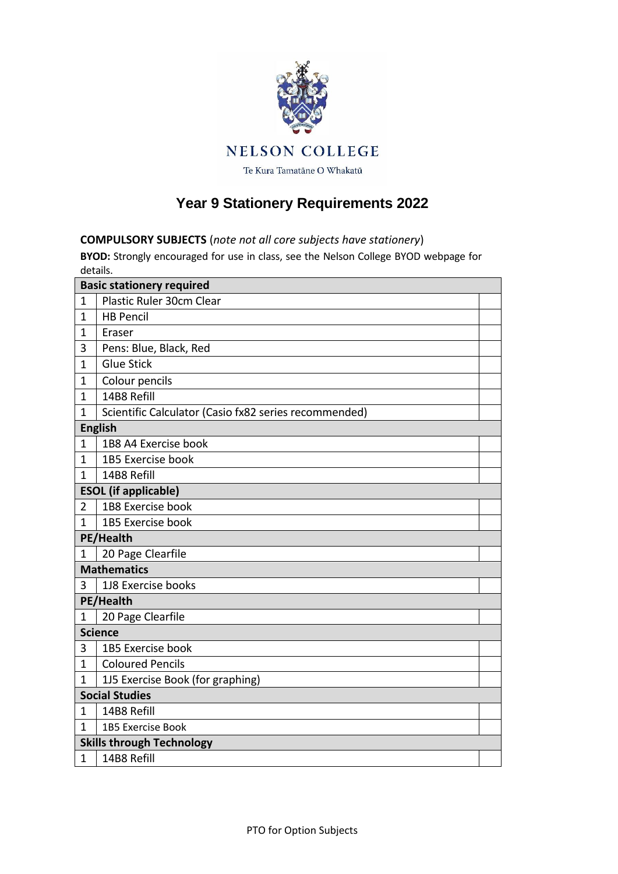

## **Year 9 Stationery Requirements 2022**

## **COMPULSORY SUBJECTS** (*note not all core subjects have stationery*)

**BYOD:** Strongly encouraged for use in class, see the Nelson College BYOD webpage for details.

| <b>Basic stationery required</b> |                                                       |  |  |  |
|----------------------------------|-------------------------------------------------------|--|--|--|
| 1                                | Plastic Ruler 30cm Clear                              |  |  |  |
| $\mathbf{1}$                     | <b>HB Pencil</b>                                      |  |  |  |
| 1                                | Eraser                                                |  |  |  |
| 3                                | Pens: Blue, Black, Red                                |  |  |  |
| $\mathbf 1$                      | <b>Glue Stick</b>                                     |  |  |  |
| $\mathbf{1}$                     | Colour pencils                                        |  |  |  |
| 1                                | 14B8 Refill                                           |  |  |  |
| $\mathbf 1$                      | Scientific Calculator (Casio fx82 series recommended) |  |  |  |
| <b>English</b>                   |                                                       |  |  |  |
| 1                                | 1B8 A4 Exercise book                                  |  |  |  |
| 1                                | 1B5 Exercise book                                     |  |  |  |
| $\mathbf{1}$                     | 14B8 Refill                                           |  |  |  |
|                                  | <b>ESOL</b> (if applicable)                           |  |  |  |
| $\overline{2}$                   | 1B8 Exercise book                                     |  |  |  |
| 1                                | 1B5 Exercise book                                     |  |  |  |
|                                  | PE/Health                                             |  |  |  |
| 1                                | 20 Page Clearfile                                     |  |  |  |
| <b>Mathematics</b>               |                                                       |  |  |  |
| 3                                | 1J8 Exercise books                                    |  |  |  |
| PE/Health                        |                                                       |  |  |  |
| $\mathbf{1}$                     | 20 Page Clearfile                                     |  |  |  |
| <b>Science</b>                   |                                                       |  |  |  |
| 3                                | 1B5 Exercise book                                     |  |  |  |
| $\mathbf{1}$                     | <b>Coloured Pencils</b>                               |  |  |  |
| 1                                | 1J5 Exercise Book (for graphing)                      |  |  |  |
|                                  | <b>Social Studies</b>                                 |  |  |  |
| 1                                | 14B8 Refill                                           |  |  |  |
| 1                                | <b>1B5 Exercise Book</b>                              |  |  |  |
| <b>Skills through Technology</b> |                                                       |  |  |  |
| $\mathbf 1$                      | 14B8 Refill                                           |  |  |  |